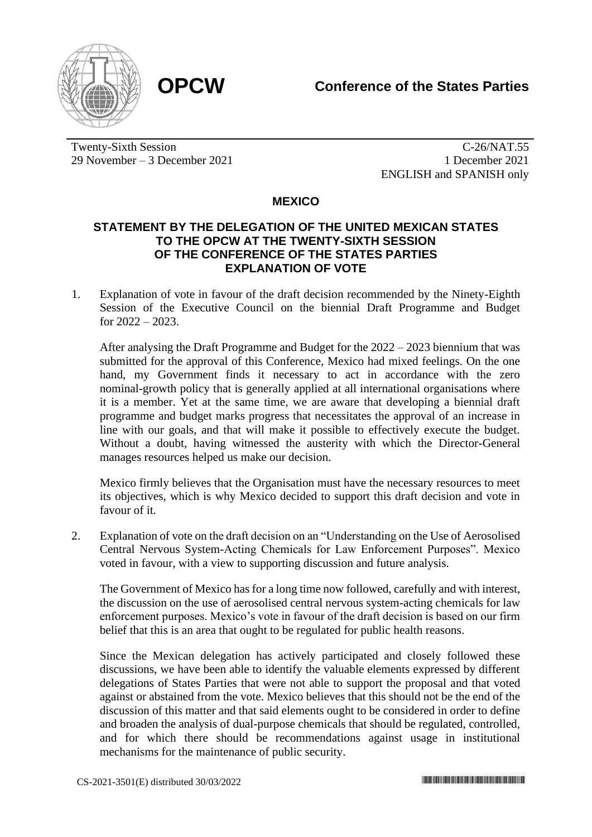

Twenty-Sixth Session 29 November – 3 December 2021

C-26/NAT.55 1 December 2021 ENGLISH and SPANISH only

## **MEXICO**

## **STATEMENT BY THE DELEGATION OF THE UNITED MEXICAN STATES TO THE OPCW AT THE TWENTY-SIXTH SESSION OF THE CONFERENCE OF THE STATES PARTIES EXPLANATION OF VOTE**

1. Explanation of vote in favour of the draft decision recommended by the Ninety-Eighth Session of the Executive Council on the biennial Draft Programme and Budget for  $2022 - 2023$ .

After analysing the Draft Programme and Budget for the 2022 – 2023 biennium that was submitted for the approval of this Conference, Mexico had mixed feelings. On the one hand, my Government finds it necessary to act in accordance with the zero nominal-growth policy that is generally applied at all international organisations where it is a member. Yet at the same time, we are aware that developing a biennial draft programme and budget marks progress that necessitates the approval of an increase in line with our goals, and that will make it possible to effectively execute the budget. Without a doubt, having witnessed the austerity with which the Director-General manages resources helped us make our decision.

Mexico firmly believes that the Organisation must have the necessary resources to meet its objectives, which is why Mexico decided to support this draft decision and vote in favour of it.

2. Explanation of vote on the draft decision on an "Understanding on the Use of Aerosolised Central Nervous System-Acting Chemicals for Law Enforcement Purposes". Mexico voted in favour, with a view to supporting discussion and future analysis.

The Government of Mexico has for a long time now followed, carefully and with interest, the discussion on the use of aerosolised central nervous system-acting chemicals for law enforcement purposes. Mexico's vote in favour of the draft decision is based on our firm belief that this is an area that ought to be regulated for public health reasons.

Since the Mexican delegation has actively participated and closely followed these discussions, we have been able to identify the valuable elements expressed by different delegations of States Parties that were not able to support the proposal and that voted against or abstained from the vote. Mexico believes that this should not be the end of the discussion of this matter and that said elements ought to be considered in order to define and broaden the analysis of dual-purpose chemicals that should be regulated, controlled, and for which there should be recommendations against usage in institutional mechanisms for the maintenance of public security.